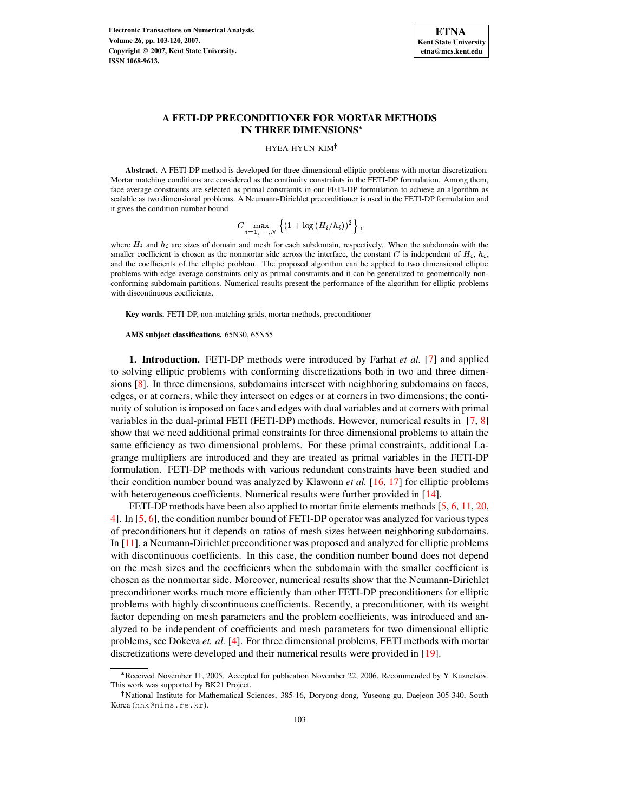

# **A FETI-DP PRECONDITIONER FOR MORTAR METHODS IN THREE DIMENSIONS**

#### HYEA HYUN KIM

**Abstract.** A FETI-DP method is developed for three dimensional elliptic problems with mortar discretization. Mortar matching conditions are considered as the continuity constraints in the FETI-DP formulation. Among them, face average constraints are selected as primal constraints in our FETI-DP formulation to achieve an algorithm as scalable as two dimensional problems. A Neumann-Dirichlet preconditioner is used in the FETI-DP formulation and it gives the condition number bound

$$
C \max_{i=1,\cdots,N} \left\{ (1 + \log (H_i/h_i))^2 \right\},\,
$$

where  $H_i$  and  $h_i$  are sizes of domain and mesh for each subdomain, respectively. When the subdomain with the smaller coefficient is chosen as the nonmortar side across the interface, the constant C is independent of  $H_i$ ,  $h_i$ , and the coefficients of the elliptic problem. The proposed algorithm can be applied to two dimensional elliptic problems with edge average constraints only as primal constraints and it can be generalized to geometrically nonconforming subdomain partitions. Numerical results present the performance of the algorithm for elliptic problems with discontinuous coefficients.

**Key words.** FETI-DP, non-matching grids, mortar methods, preconditioner

**AMS subject classifications.** 65N30, 65N55

**1. Introduction.** FETI-DP methods were introduced by Farhat *et al.* [\[7\]](#page-16-0) and applied to solving elliptic problems with conforming discretizations both in two and three dimensions [\[8\]](#page-16-1). In three dimensions, subdomains intersect with neighboring subdomains on faces, edges, or at corners, while they intersect on edges or at corners in two dimensions; the continuity of solution is imposed on faces and edges with dual variables and at corners with primal variables in the dual-primal FETI (FETI-DP) methods. However, numerical results in [\[7,](#page-16-0) [8\]](#page-16-1) show that we need additional primal constraints for three dimensional problems to attain the same efficiency as two dimensional problems. For these primal constraints, additional Lagrange multipliers are introduced and they are treated as primal variables in the FETI-DP formulation. FETI-DP methods with various redundant constraints have been studied and their condition number bound was analyzed by Klawonn *et al.* [\[16,](#page-16-2) [17\]](#page-16-3) for elliptic problems with heterogeneous coefficients. Numerical results were further provided in [\[14\]](#page-16-4).

FETI-DP methods have been also applied to mortar finite elements methods [\[5,](#page-16-5) [6,](#page-16-6) [11,](#page-16-7) [20,](#page-17-0) [4\]](#page-16-8). In [\[5,](#page-16-5) [6\]](#page-16-6), the condition number bound of FETI-DP operator was analyzed for various types of preconditioners but it depends on ratios of mesh sizes between neighboring subdomains. In [\[11\]](#page-16-7), a Neumann-Dirichlet preconditioner was proposed and analyzed for elliptic problems with discontinuous coefficients. In this case, the condition number bound does not depend on the mesh sizes and the coefficients when the subdomain with the smaller coefficient is chosen as the nonmortar side. Moreover, numerical results show that the Neumann-Dirichlet preconditioner works much more efficiently than other FETI-DP preconditioners for elliptic problems with highly discontinuous coefficients. Recently, a preconditioner, with its weight factor depending on mesh parameters and the problem coefficients, was introduced and analyzed to be independent of coefficients and mesh parameters for two dimensional elliptic problems, see Dokeva *et. al.* [\[4\]](#page-16-8). For three dimensional problems, FETI methods with mortar discretizations were developed and their numerical results were provided in [\[19\]](#page-17-1).

<sup>,</sup> Received November 11, 2005. Accepted for publication November 22, 2006. Recommended by Y. Kuznetsov. This work was supported by BK21 Project.

<sup>&</sup>lt;sup>†</sup>National Institute for Mathematical Sciences, 385-16, Doryong-dong, Yuseong-gu, Daejeon 305-340, South Korea (hhk@nims.re.kr).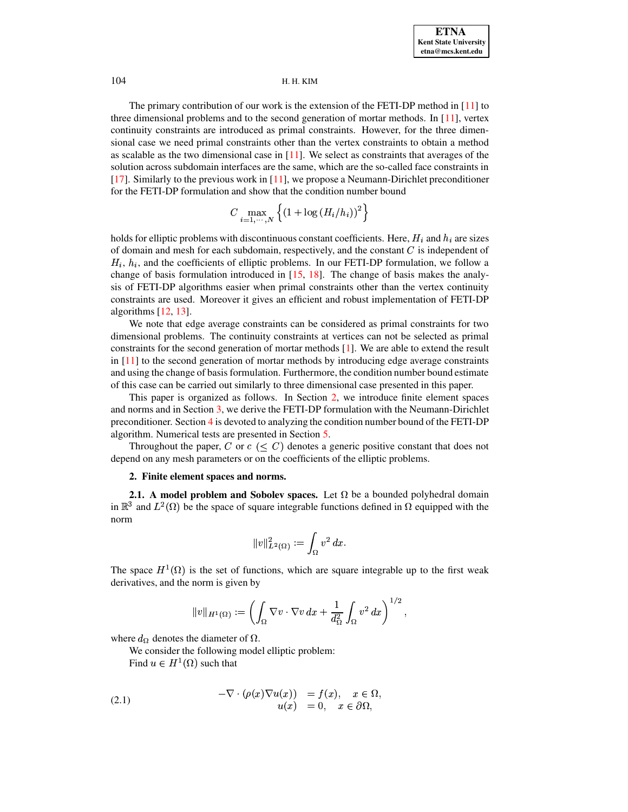The primary contribution of our work is the extension of the FETI-DP method in [\[11\]](#page-16-7) to three dimensional problems and to the second generation of mortar methods. In [\[11\]](#page-16-7), vertex continuity constraints are introduced as primal constraints. However, for the three dimensional case we need primal constraints other than the vertex constraints to obtain a method as scalable as the two dimensional case in  $[11]$ . We select as constraints that averages of the solution across subdomain interfaces are the same, which are the so-called face constraints in [\[17\]](#page-16-3). Similarly to the previous work in [\[11\]](#page-16-7), we propose a Neumann-Dirichlet preconditioner for the FETI-DP formulation and show that the condition number bound

$$
C \max_{i=1,\cdots,N} \left\{ \left(1 + \log \left(H_i/h_i\right)\right)^2 \right\}
$$

holds for elliptic problems with discontinuous constant coefficients. Here,  $H_i$  and  $h_i$  are sizes of domain and mesh for each subdomain, respectively, and the constant  $C$  is independent of  $H_i$ ,  $h_i$ , and the coefficients of elliptic problems. In our FETI-DP formulation, we follow a change of basis formulation introduced in [\[15,](#page-16-9) [18\]](#page-16-10). The change of basis makes the analysis of FETI-DP algorithms easier when primal constraints other than the vertex continuity constraints are used. Moreover it gives an efficient and robust implementation of FETI-DP algorithms [\[12,](#page-16-11) [13\]](#page-16-12).

We note that edge average constraints can be considered as primal constraints for two dimensional problems. The continuity constraints at vertices can not be selected as primal constraints for the second generation of mortar methods [\[1\]](#page-16-13). We are able to extend the result in [\[11\]](#page-16-7) to the second generation of mortar methods by introducing edge average constraints and using the change of basis formulation. Furthermore, the condition number bound estimate of this case can be carried out similarly to three dimensional case presented in this paper.

This paper is organized as follows. In Section [2,](#page-1-0) we introduce finite element spaces and norms and in Section [3,](#page-4-0) we derive the FETI-DP formulation with the Neumann-Dirichlet preconditioner. Section [4](#page-9-0) is devoted to analyzing the condition number bound of the FETI-DP algorithm. Numerical tests are presented in Section [5.](#page-12-0)

<span id="page-1-0"></span>Throughout the paper, C or  $c \leq C$ ) denotes a generic positive constant that does not depend on any mesh parameters or on the coefficients of the elliptic problems.

### **2. Finite element spaces and norms.**

**2.1.** A model problem and Sobolev spaces. Let  $\Omega$  be a bounded polyhedral domain in  $\mathbb{R}^3$  and  $L^2(\Omega)$  be the space of square integrable functions defined in  $\Omega$  equipped with the norm

$$
\|v\|_{L^2(\Omega)}^2:=\int_\Omega v^2\,dx.
$$

The space  $H^1(\Omega)$  is the set of functions, which are square integrable up to the first weak derivatives, and the norm is given by

$$
\|v\|_{H^1(\Omega)}:=\left(\int_\Omega \nabla v\cdot \nabla v\,dx+\frac{1}{d_\Omega^2}\int_\Omega v^2\,dx\right)^{1/2},
$$

<span id="page-1-1"></span>where  $d_{\Omega}$  denotes the diameter of  $\Omega$ .

We consider the following model elliptic problem:

Find  $u \in H^1(\Omega)$  such that

(2.1) 
$$
-\nabla \cdot (\rho(x)\nabla u(x)) = f(x), \quad x \in \Omega, u(x) = 0, \quad x \in \partial\Omega,
$$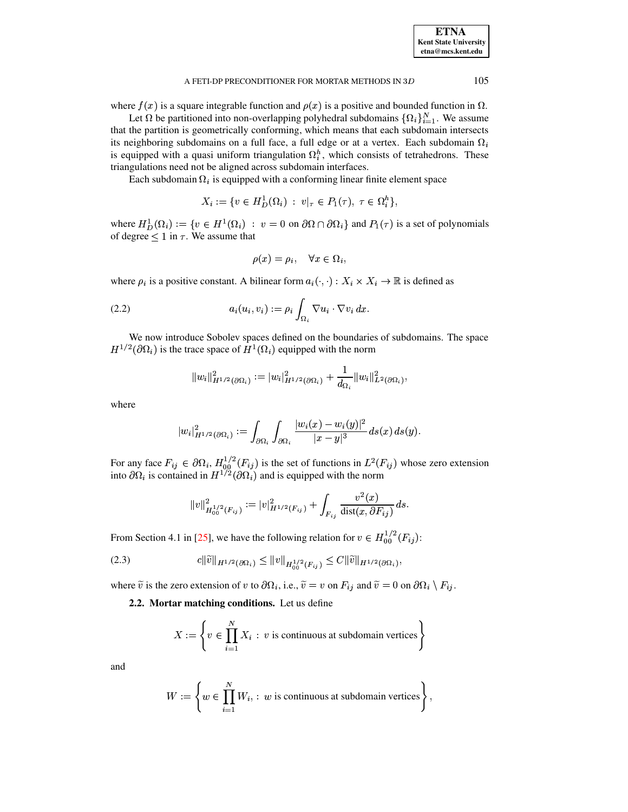where  $f(x)$  is a square integrable function and  $\rho(x)$  is a positive and bounded function in  $\Omega$ .

Let  $\Omega$  be partitioned into non-overlapping polyhedral subdomains  $\{\Omega_i\}_{i=1}^N$ . We assume that the partition is geometrically conforming, which means that each subdomain intersects its neighboring subdomains on a full face, a full edge or at a vertex. Each subdomain  $\Omega_i$ is equipped with a quasi uniform triangulation  $\Omega_i^h$ , which consists of tetrahedrons. These triangulations need not be aligned across subdomain interfaces.

Each subdomain  $\Omega_i$  is equipped with a conforming linear finite element space<br>  $X_i := \{ v \in H^1_D(\Omega_i) : v|_{\tau} \in P_1(\tau), \tau \in \Omega_i^h \},\$ 

$$
X_i := \{ v \in H_D^1(\Omega_i) \; : \; v|_{\tau} \in P_1(\tau), \; \tau \in \Omega_i^h \},
$$

where  $H_D^1(\Omega_i) := \{ v \in H^1(\Omega_i) : v = 0 \text{ on } \mathbb{R} \}$ <sup>6</sup>  $(\Omega_i) : v = 0 \text{ on } \partial\Omega \cap \partial\Omega_i \}$  and  $P_1(\tau)$  is a set of polynomials of degree  $\leq 1$  in  $\tau$ . We assume that

<span id="page-2-0"></span>
$$
\rho(x) = \rho_i, \quad \forall x \in \Omega_i,
$$

where  $\rho_i$  is a positive constant. A bilinear form  $a_i(\cdot, \cdot) : X_i \times X_i \to \mathbb{R}$  is defined as

(2.2) 
$$
a_i(u_i, v_i) := \rho_i \int_{\Omega_i} \nabla u_i \cdot \nabla v_i dx.
$$

We now introduce Sobolev spaces defined on the boundaries of subdomains. The space has been a series of the contract of the contract of the contract of the contract of the contract of the contract of  $^{1/2}(\partial\Omega_i)$  is the trace space of  $H^1(\Omega_i)$  equipped with the norm

$$
\|w_i\|_{H^{1/2}(\partial \Omega_i)}^2 := |w_i|_{H^{1/2}(\partial \Omega_i)}^2 + \frac{1}{d_{\Omega_i}} \|w_i\|_{L^2(\partial \Omega_i)}^2,
$$

where

$$
\left|w_i\right|^2_{H^{1/2}(\partial\Omega_i)}:=\int_{\partial\Omega_i}\int_{\partial\Omega_i}\frac{|w_i(x)-w_i(y)|^2}{|x-y|^3} \,d s(x)\,d s(y).
$$

For any face  $F_{ij} \in \partial \Omega_i$ ,  $H_{00}^{1/2}(F_{ij})$  is the set of functions in  $L^2(F_{ij})$  whose zero extension into  $\partial\Omega_i$  is contained in  $H^{1/2}(\partial\Omega_i)$  and is equipped with the norm

<span id="page-2-2"></span>
$$
\|v\|_{H_{00}^{1/2}(F_{ij})}^2:=|v|_{H^{1/2}(F_{ij})}^2+\int_{F_{ij}}\frac{v^2(x)}{{\rm dist}(x,\partial F_{ij})}\,ds.
$$

From Section 4.1 in [\[25\]](#page-17-2), we have the following relation for  $v \in H_{00}^{1/2}(F_{ij})$ : 5], we have the following relation for  $v \in H_{00}^{1/2}(F_{ij})$ :

$$
(2.3) \t\t\t c\|\widetilde{v}\|_{H^{1/2}(\partial\Omega_i)} \le \|v\|_{H^{1/2}_{00}(F_{ij})} \le C\|\widetilde{v}\|_{H^{1/2}(\partial\Omega_i)},
$$

<span id="page-2-1"></span>where  $\tilde{v}$  is the zero extension of v to  $\partial\Omega_i$ , i.e.,  $\tilde{v} = v$  on  $F_{ij}$  and  $\tilde{v} = 0$  on  $\partial\Omega_i \setminus F_{ij}$ .

**2.2. Mortar matching conditions.** Let us define

$$
X := \left\{ v \in \prod_{i=1}^{N} X_i : v \text{ is continuous at subdomain vertices} \right\}
$$

and

$$
W := \left\{ w \in \prod_{i=1}^{N} W_i, : w \text{ is continuous at subdomain vertices} \right\},
$$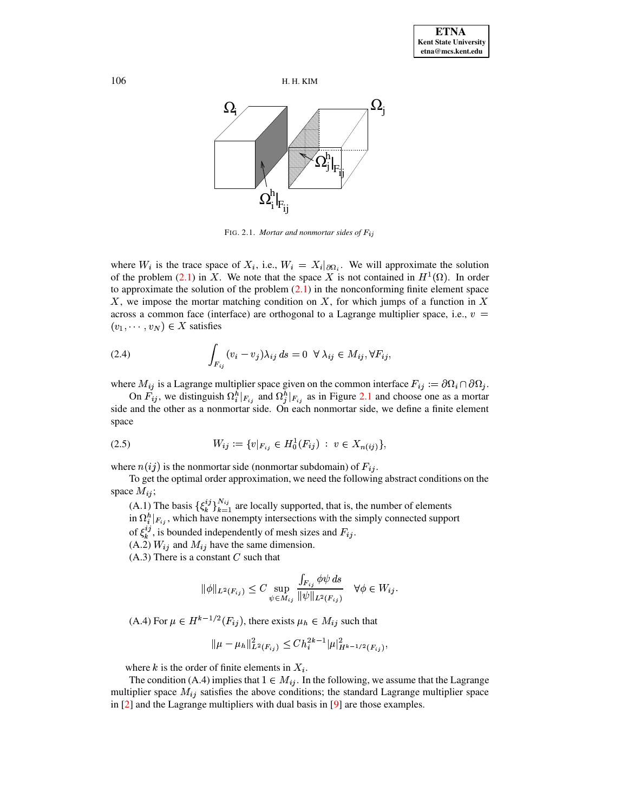



<span id="page-3-0"></span>FIG. 2.1. Mortar and nonmortar sides of  $F_{ij}$ 

where  $W_i$  is the trace space of  $X_i$ , i.e.,  $W_i = X_i|_{\partial \Omega_i}$ . We will approximate the solution of the problem (2.1) in X. We note that the space X is not contained in  $H^1(\Omega)$ . In order to approximate the solution of the problem  $(2.1)$  in the nonconforming finite element space X, we impose the mortar matching condition on  $X$ , for which jumps of a function in  $X$ across a common face (interface) are orthogonal to a Lagrange multiplier space, i.e.,  $v =$  $(v_1, \dots, v_N) \in X$  satisfies

<span id="page-3-1"></span>(2.4) 
$$
\int_{F_{ij}} (v_i - v_j) \lambda_{ij} ds = 0 \ \forall \ \lambda_{ij} \in M_{ij}, \forall F_{ij}
$$

where  $M_{ij}$  is a Lagrange multiplier space given on the common interface  $F_{ij} := \partial \Omega_i \cap \partial \Omega_j$ .

<span id="page-3-2"></span>On  $F_{ij}$ , we distinguish  $\Omega_i^h|_{F_{ij}}$  and  $\Omega_j^h|_{F_{ij}}$  as in Figure 2.1 and choose one as a mortar side and the other as a nonmortar side. On each nonmortar side, we define a finite element space

$$
(2.5) \t W_{ij} := \{v|_{F_{ij}} \in H_0^1(F_{ij}) \; : \; v \in X_{n(ij)}\},
$$

where  $n(ij)$  is the nonmortar side (nonmortar subdomain) of  $F_{ij}$ .

To get the optimal order approximation, we need the following abstract conditions on the space  $M_{ij}$ ;

(A.1) The basis  $\{\xi_k^{ij}\}_{k=1}^{N_{ij}}$  are locally supported, that is, the number of elements

in  $\Omega_i^h|_{F_{ij}}$ , which have nonempty intersections with the simply connected support

of  $\xi_k^{ij}$ , is bounded independently of mesh sizes and  $F_{ij}$ .

(A.2)  $W_{ij}$  and  $M_{ij}$  have the same dimension.

 $(A.3)$  There is a constant C such that

$$
\|\phi\|_{L^2(F_{ij})} \le C \sup_{\psi \in M_{ij}} \frac{\int_{F_{ij}} \phi \psi ds}{\|\psi\|_{L^2(F_{ij})}} \quad \forall \phi \in W_{ij}.
$$

(A.4) For  $\mu \in H^{k-1/2}(F_{ij})$ , there exists  $\mu_h \in M_{ij}$  such that

$$
\|\mu-\mu_h\|_{L^2(F_{ij})}^2 \leq C h_i^{2k-1} |\mu|_{H^{k-1/2}(F_{ij})}^2,
$$

where k is the order of finite elements in  $X_i$ .

The condition (A.4) implies that  $1 \in M_{ij}$ . In the following, we assume that the Lagrange multiplier space  $M_{ij}$  satisfies the above conditions; the standard Lagrange multiplier space in  $[2]$  and the Lagrange multipliers with dual basis in  $[9]$  are those examples.

106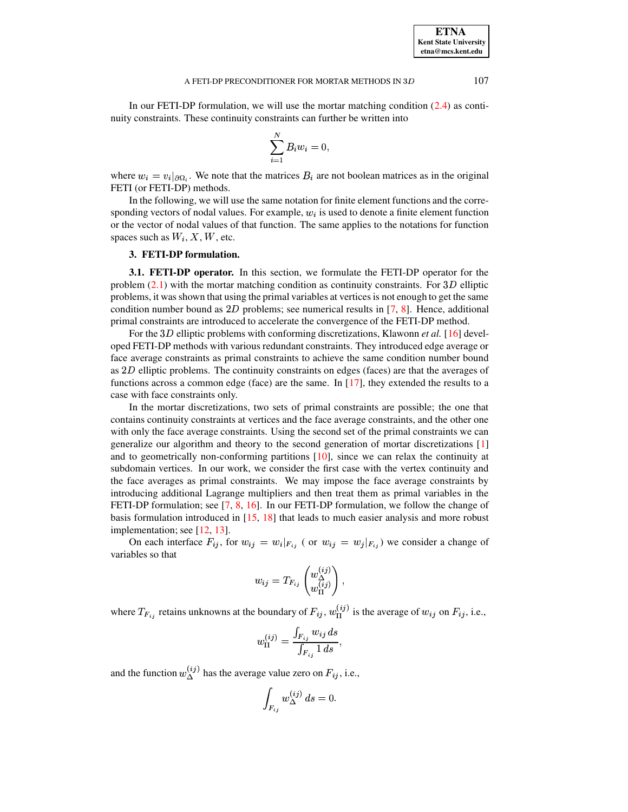In our FETI-DP formulation, we will use the mortar matching condition  $(2.4)$  as continuity constraints. These continuity constraints can further be written into

$$
\sum_{i=1}^N B_i w_i = 0
$$

where  $w_i = v_i|_{\partial \Omega_i}$ . We note that the matrices  $B_i$  are not boolean matrices as in the original FETI (or FETI-DP) methods.

In the following, we will use the same notation for finite element functions and the corresponding vectors of nodal values. For example,  $w_i$  is used to denote a finite element function or the vector of nodal values of that function. The same applies to the notations for function spaces such as  $W_i$ , X, W, etc.

## 3. FETI-DP formulation.

<span id="page-4-1"></span><span id="page-4-0"></span>**3.1. FETI-DP operator.** In this section, we formulate the FETI-DP operator for the problem  $(2.1)$  with the mortar matching condition as continuity constraints. For 3D elliptic problems, it was shown that using the primal variables at vertices is not enough to get the same condition number bound as  $2D$  problems; see numerical results in [7, 8]. Hence, additional primal constraints are introduced to accelerate the convergence of the FETI-DP method.

For the 3D elliptic problems with conforming discretizations, Klawonn *et al.* [16] developed FETI-DP methods with various redundant constraints. They introduced edge average or face average constraints as primal constraints to achieve the same condition number bound as  $2D$  elliptic problems. The continuity constraints on edges (faces) are that the averages of functions across a common edge (face) are the same. In  $[17]$ , they extended the results to a case with face constraints only.

In the mortar discretizations, two sets of primal constraints are possible; the one that contains continuity constraints at vertices and the face average constraints, and the other one with only the face average constraints. Using the second set of the primal constraints we can generalize our algorithm and theory to the second generation of mortar discretizations [1] and to geometrically non-conforming partitions [10], since we can relax the continuity at subdomain vertices. In our work, we consider the first case with the vertex continuity and the face averages as primal constraints. We may impose the face average constraints by introducing additional Lagrange multipliers and then treat them as primal variables in the FETI-DP formulation; see [7, 8, 16]. In our FETI-DP formulation, we follow the change of basis formulation introduced in  $[15, 18]$  that leads to much easier analysis and more robust implementation; see [12, 13].

On each interface  $F_{ij}$ , for  $w_{ij} = w_i |_{F_{ij}}$  (or  $w_{ij} = w_j |_{F_{ij}}$ ) we consider a change of variables so that

$$
w_{ij} = T_{F_{ij}} \begin{pmatrix} w_{\Delta}^{(ij)} \\ w_{\Pi}^{(ij)} \end{pmatrix},
$$

where  $T_{F_{ij}}$  retains unknowns at the boundary of  $F_{ij}$ ,  $w_{\Pi}^{(ij)}$  is the average of  $w_{ij}$  on  $F_{ij}$ , i.e.,

$$
w_{\Pi}^{(ij)} = \frac{\int_{F_{ij}} w_{ij} ds}{\int_{F_{ij}} 1 ds},
$$

and the function  $w_{\Lambda}^{(ij)}$  has the average value zero on  $F_{ij}$ , i.e.,

$$
\int_{F_{ij}} w_{\Delta}^{(ij)} ds = 0.
$$

**ETNA Kent State University** etna@mcs.kent.edu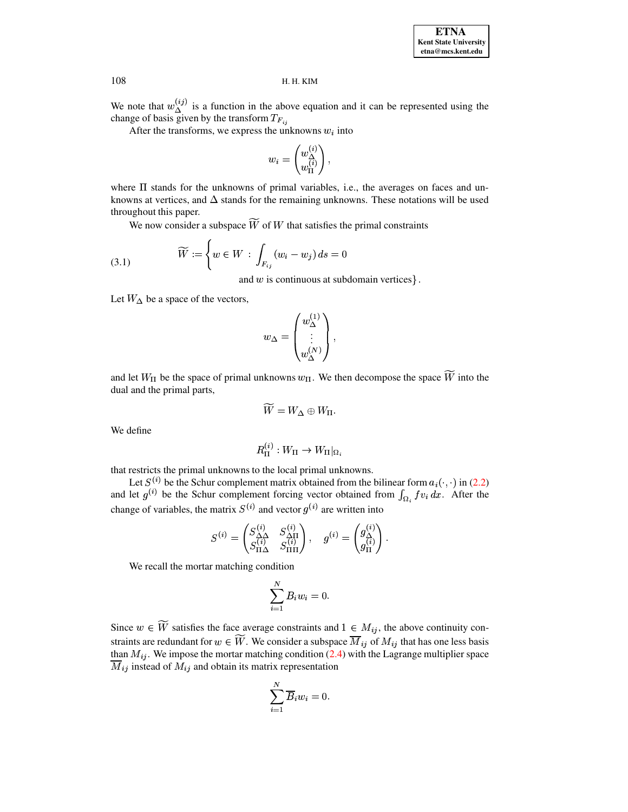We note that  $w_{\Delta}^{(ij)}$  is a function in the above equation and it can be represented using the change of basis given by the transform  $T_{F_{ij}}$ 

After the transforms, we express the unknowns  $w_i$  into

<span id="page-5-0"></span>
$$
w_i = \begin{pmatrix} w_\Delta^{(i)} \\ w_\Pi^{(i)} \end{pmatrix},
$$

where  $\Pi$  stands for the unknowns of primal variables, i.e., the averages on faces and unknowns at vertices, and  $\Delta$  stands for the remaining unknowns. These notations will be used throughout this paper.

We now consider a subspace  $\widetilde{W}$  of W that satisfies the primal constraints

(3.1) 
$$
\widetilde{W} := \left\{ w \in W : \int_{F_{ij}} (w_i - w_j) ds = 0 \right\}
$$

and  $w$  is continuous at subdomain vertices  $\}$ .

Let  $W_{\Delta}$  be a space of the vectors,

$$
w_{\Delta} = \begin{pmatrix} w_{\Delta}^{(1)} \\ \vdots \\ w_{\Delta}^{(N)} \end{pmatrix}
$$

and let  $W_{\Pi}$  be the space of primal unknowns  $w_{\Pi}$ . We then decompose the space  $\widetilde{W}$  into the dual and the primal parts,

$$
\widetilde{W}=W_{\Delta}\oplus W_{\Pi}
$$

We define

$$
R_{\Pi}^{(i)}:W_{\Pi}\to W_{\Pi}|_{\Omega_i}
$$

that restricts the primal unknowns to the local primal unknowns.

Let  $S^{(i)}$  be the Schur complement matrix obtained from the bilinear form  $a_i(\cdot, \cdot)$  in (2.2) and let  $g^{(i)}$  be the Schur complement forcing vector obtained from  $\int_{\Omega_i} f v_i dx$ . After the change of variables, the matrix  $S^{(i)}$  and vector  $g^{(i)}$  are written into

$$
S^{(i)} = \begin{pmatrix} S_{\Delta\Delta}^{(i)} & S_{\Delta\Pi}^{(i)} \\ S_{\Pi\Delta}^{(i)} & S_{\Pi\Pi}^{(i)} \end{pmatrix}, \quad g^{(i)} = \begin{pmatrix} g_{\Delta}^{(i)} \\ g_{\Pi}^{(i)} \end{pmatrix}
$$

We recall the mortar matching condition

$$
\sum_{i=1}^{N} B_i w_i = 0.
$$

Since  $w \in \overline{W}$  satisfies the face average constraints and  $1 \in M_{ij}$ , the above continuity constraints are redundant for  $w \in \overline{W}$ . We consider a subspace  $\overline{M}_{ij}$  of  $M_{ij}$  that has one less basis than  $M_{ij}$ . We impose the mortar matching condition (2.4) with the Lagrange multiplier space  $\overline{M}_{ij}$  instead of  $M_{ij}$  and obtain its matrix representation

$$
\sum_{i=1}^{N} \overline{B}_{i} w_{i} = 0.
$$

108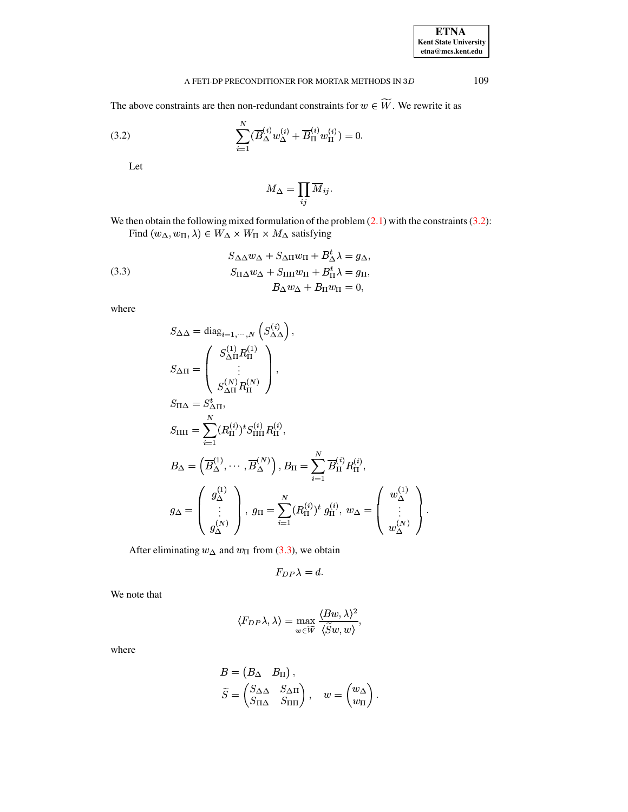### A FETI-DP PRECONDITIONER FOR MORTAR METHODS IN  $3D$

The above constraints are then non-redundant constraints for  $w \in \widetilde{W}$ . We rewrite it as

(3.2) 
$$
\sum_{i=1}^{N} (\overline{B}_{\Delta}^{(i)} w_{\Delta}^{(i)} + \overline{B}_{\Pi}^{(i)} w_{\Pi}^{(i)}) = 0
$$

Let

<span id="page-6-1"></span>
$$
M_\Delta = \prod_{ij} \overline{M}_{ij}.
$$

We then obtain the following mixed formulation of the problem  $(2.1)$  with the constraints  $(3.2)$ : Find  $(w_{\Delta}, w_{\Pi}, \lambda) \in W_{\Delta} \times W_{\Pi} \times M_{\Delta}$  satisfying

(3.3) 
$$
S_{\Delta\Delta}w_{\Delta} + S_{\Delta\Pi}w_{\Pi} + B_{\Delta}^{t}\lambda = g_{\Delta},
$$

$$
S_{\Pi\Delta}w_{\Delta} + S_{\Pi\Pi}w_{\Pi} + B_{\Pi}^{t}\lambda = g_{\Pi},
$$

$$
B_{\Delta}w_{\Delta} + B_{\Pi}w_{\Pi} = 0,
$$

where

$$
S_{\Delta\Delta} = \text{diag}_{i=1,\dots,N} \left( S_{\Delta\Delta}^{(i)} \right),
$$
  
\n
$$
S_{\Delta\Pi} = \begin{pmatrix} S_{\Delta\Pi}^{(1)} R_{\Pi}^{(1)} \\ \vdots \\ S_{\Delta\Pi}^{(N)} R_{\Pi}^{(N)} \end{pmatrix},
$$
  
\n
$$
S_{\Pi\Delta} = S_{\Delta\Pi}^{t},
$$
  
\n
$$
S_{\Pi\Pi} = \sum_{i=1}^{N} (R_{\Pi}^{(i)})^{t} S_{\Pi\Pi}^{(i)} R_{\Pi}^{(i)},
$$
  
\n
$$
B_{\Delta} = \left( \overline{B}_{\Delta}^{(1)}, \dots, \overline{B}_{\Delta}^{(N)} \right), B_{\Pi} = \sum_{i=1}^{N} \overline{B}_{\Pi}^{(i)} R_{\Pi}^{(i)},
$$
  
\n
$$
g_{\Delta} = \begin{pmatrix} g_{\Delta}^{(1)} \\ \vdots \\ g_{\Delta}^{(N)} \end{pmatrix}, g_{\Pi} = \sum_{i=1}^{N} (R_{\Pi}^{(i)})^{t} g_{\Pi}^{(i)}, w_{\Delta} = \begin{pmatrix} w_{\Delta}^{(1)} \\ \vdots \\ w_{\Delta}^{(N)} \end{pmatrix}.
$$

After eliminating  $w_{\Delta}$  and  $w_{\Pi}$  from (3.3), we obtain

$$
F_{DP}\lambda = d.
$$

We note that

$$
\langle F_{DP} \lambda, \lambda \rangle = \max_{w \in \widetilde{W}} \frac{\langle Bw, \lambda \rangle^2}{\langle \widetilde{S}w, w \rangle},
$$

where

$$
B = \begin{pmatrix} B_{\Delta} & B_{\Pi} \end{pmatrix},
$$
  
\n
$$
\widetilde{S} = \begin{pmatrix} S_{\Delta \Delta} & S_{\Delta \Pi} \\ S_{\Pi \Delta} & S_{\Pi \Pi} \end{pmatrix}, \quad w = \begin{pmatrix} w_{\Delta} \\ w_{\Pi} \end{pmatrix}
$$

109

<span id="page-6-0"></span>**ETNA** Kent State University  $etna@mcs. kent.edu$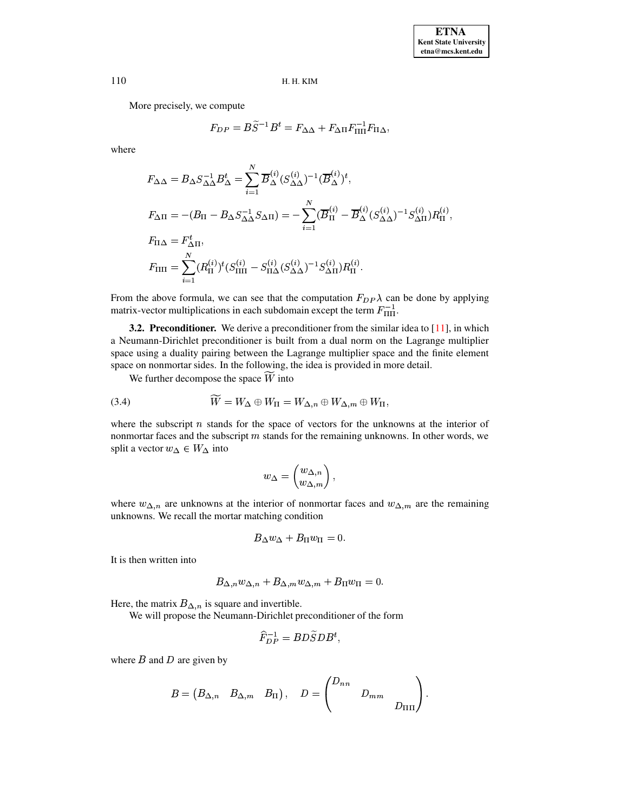More precisely, we compute

$$
F_{DP} = B\widetilde{S}^{-1}B^t = F_{\Delta\Delta} + F_{\Delta\Pi}F_{\Pi\Pi}^{-1}F_{\Pi\Delta},
$$

where

$$
F_{\Delta\Delta} = B_{\Delta} S_{\Delta\Delta}^{-1} B_{\Delta}^{t} = \sum_{i=1}^{N} \overline{B}_{\Delta}^{(i)} (S_{\Delta\Delta}^{(i)})^{-1} (\overline{B}_{\Delta}^{(i)})^{t},
$$
  
\n
$$
F_{\Delta\Pi} = -(B_{\Pi} - B_{\Delta} S_{\Delta\Delta}^{-1} S_{\Delta\Pi}) = -\sum_{i=1}^{N} (\overline{B}_{\Pi}^{(i)} - \overline{B}_{\Delta}^{(i)} (S_{\Delta\Delta}^{(i)})^{-1} S_{\Delta\Pi}^{(i)}) R_{\Pi}^{(i)},
$$
  
\n
$$
F_{\Pi\Delta} = F_{\Delta\Pi}^{t},
$$
  
\n
$$
F_{\Pi\Pi} = \sum_{i=1}^{N} (R_{\Pi}^{(i)})^{t} (S_{\Pi\Pi}^{(i)} - S_{\Pi\Delta}^{(i)} (S_{\Delta\Delta}^{(i)})^{-1} S_{\Delta\Pi}^{(i)}) R_{\Pi}^{(i)}.
$$

From the above formula, we can see that the computation  $F_{DP} \lambda$  can be done by applying matrix-vector multiplications in each subdomain except the term  $F_{\Pi\Pi}^{-1}$ . <sup>×</sup> <sup>6</sup>

**3.2. Preconditioner.** We derive a preconditioner from the similar idea to [\[11\]](#page-16-7), in which a Neumann-Dirichlet preconditioner is built from a dual norm on the Lagrange multiplier space using a duality pairing between the Lagrange multiplier space and the finite element space on nonmortar sides. In the following, the idea is provided in more detail.

We further decompose the space W into<br> $\widetilde{W} = W_1 \oplus W_{\overline{X}} = W_2 \oplus W_3$ 

We further decompose the space *W* into  
(3.4) 
$$
\widetilde{W} = W_{\Delta} \oplus W_{\Pi} = W_{\Delta,n} \oplus W_{\Delta,m} \oplus W_{\Pi},
$$

where the subscript  $n$  stands for the space of vectors for the unknowns at the interior of nonmortar faces and the subscript  $m$  stands for the remaining unknowns. In other words, we nonmortar faces and the subscript m<br>split a vector  $w_{\Delta} \in W_{\Delta}$  into pt *n* stands for the space<br>nd the subscript *m* stands f<br> $\in W_{\Delta}$  into

<span id="page-7-0"></span>
$$
w_{\Delta} = \begin{pmatrix} w_{\Delta,n} \\ w_{\Delta,m} \end{pmatrix},
$$

 $\langle w_{\Delta,m} \rangle$ <br>where  $w_{\Delta,n}$  are unknowns at the interior of nonmortar faces and  $w_{\Delta,m}$  are the remaining unknowns. We recall the mortar matching condition<br> $R_{\text{max}} + R_{\text{max}}$  $\ddot{m} = 0$ 

$$
B_\Delta w_\Delta + B_\Pi w_\Pi = 0.
$$

It is then written into

$$
B_{\Delta,n}w_{\Delta,n} + B_{\Delta,m}w_{\Delta,m} + B_{\Pi}w_{\Pi} = 0.
$$

Here, the matrix  $B_{\Delta,n}$  is square and invertible.

We will propose the Neumann-Dirichlet preconditioner of the form

$$
\widehat{F}_{DP}^{-1}=BD\widetilde{S}DB^{t},
$$

where  $B$  and  $D$  are given by

$$
B = \begin{pmatrix} B_{\Delta,n} & B_{\Delta,m} & B_\Pi \end{pmatrix}, \quad D = \begin{pmatrix} D_{nn} & & \\ & D_{mm} & \\ & & D_{\Pi\Pi} \end{pmatrix}.
$$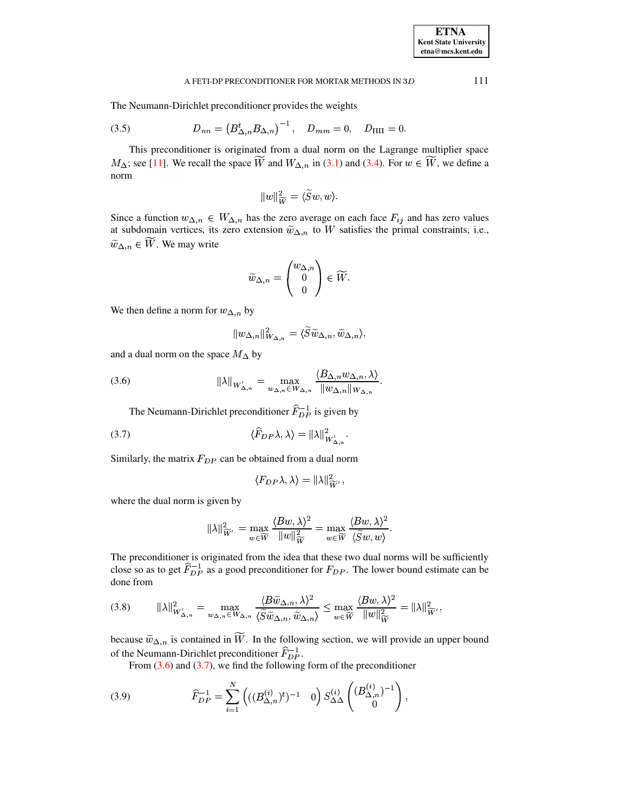### A FETI-DP PRECONDITIONER FOR MORTAR METHODS IN  $3D$  111

The Neumann-Dirichlet preconditioner provides the weights

(3.5) 
$$
D_{nn} = (B_{\Delta,n}^t B_{\Delta,n})^{-1}, \quad D_{mm} = 0, \quad D_{\Pi\Pi} = 0.
$$

This preconditioner is originated from a dual norm on the Lagrange multiplier space This preconditioner is originated from a dual norm on the Lagrange multiplier space  $M_{\Delta}$ ; see [\[11\]](#page-16-7). We recall the space  $\widetilde{W}$  and  $W_{\Delta,n}$  in [\(3.1\)](#page-5-0) and [\(3.4\)](#page-7-0). For  $w \in \widetilde{W}$ , we define a norm X¡tX  $\widetilde{S}w,w$ .

<span id="page-8-2"></span>
$$
\|w\|_{\widetilde{W}}^2=\langle \widetilde{S}w,w\rangle.
$$

 $||w||^2_{\widetilde{W}} = \langle \widetilde{S}w, w \rangle$ .<br>Since a function  $w_{\Delta,n} \in W_{\Delta,n}$  has the zero average on each face  $F_{ij}$  and has zero values at subdomain vertices, its zero extension  $\widetilde{w}_{\Delta,n}$  to W satisfies the primal constraints, Since a function  $w_{\Delta,n} \in W_{\Delta,n}$  has the zero average on each face  $F_{ij}$  and has zero values at subdomain vertices, its zero extension  $\tilde{w}_{\Delta,n}$  to W satisfies the primal constraints, i.e.,  $\tilde{w}_{\Delta,n} \in \widetilde{W}$ . We  $\Delta, n \in W$ . We may write

$$
\widetilde{w}_{\Delta,n}=\begin{pmatrix}w_{\Delta,n}\\0\\0\end{pmatrix}\in \widetilde{W}.
$$

We then define a norm for  $w_{\Delta,n}$  by

<span id="page-8-0"></span>
$$
\|w_{\Delta,n}\|_{W_{\Delta,n}}^2 = \langle \widetilde{S} \widetilde{w}_{\Delta,n}, \widetilde{w}_{\Delta,n} \rangle,
$$

and a dual norm on the space  $M_{\Delta}$  by

and a dual norm on the space 
$$
M_{\Delta}
$$
 by  
\n(3.6) 
$$
\|\lambda\|_{W'_{\Delta,n}} = \max_{w_{\Delta,n} \in W_{\Delta,n}} \frac{\langle B_{\Delta,n} w_{\Delta,n}, \lambda \rangle}{\|w_{\Delta,n}\|_{W_{\Delta,n}}}.
$$

The Neumann-Dirichlet preconditioner 
$$
\hat{F}_{DP}^{-1}
$$
 is given by  
(3.7) 
$$
\langle \hat{F}_{DP} \lambda, \lambda \rangle = ||\lambda||_{W'_{\Delta,n}}^2.
$$

Similarly, the matrix  $F_{DP}$  can be obtained from a dual norm  $\langle F_{DP}\lambda, \lambda \rangle = ||\lambda||^2_{\sim}$ .

<span id="page-8-4"></span><span id="page-8-1"></span>
$$
\langle F_{DP} \lambda, \lambda \rangle = \|\lambda\|_{\widetilde W'}^2,
$$

where the dual norm is given by

given by  

$$
\|\lambda\|_{\widetilde{W}'}^2 = \max_{w \in \widetilde{W}} \frac{\langle Bw, \lambda \rangle^2}{\|w\|_{\widetilde{W}}^2} = \max_{w \in \widetilde{W}} \frac{\langle Bw, \lambda \rangle^2}{\langle \widetilde{S}w, w \rangle}.
$$

The preconditioner is originated from the idea that these two dual norms will be sufficiently close so as to get  $\hat{F}_{DP}^{-1}$  as a good preconditioner for  $F_{DP}$ . The lower bound estimate can be done from

<span id="page-8-3"></span>(3.8)

\n
$$
\|\lambda\|_{W'_{\Delta,n}}^2 = \max_{w_{\Delta,n}\in W_{\Delta,n}} \frac{\langle B\widetilde{w}_{\Delta,n}, \lambda\rangle^2}{\langle \widetilde{S}\widetilde{w}_{\Delta,n}, \widetilde{w}_{\Delta,n} \rangle} \leq \max_{w\in \widetilde{W}} \frac{\langle Bw, \lambda\rangle^2}{\|w\|_{\widetilde{W}}^2} = \|\lambda\|_{\widetilde{W}'}^2,
$$

because  $\tilde{w}_{\Delta,n}$  is contained in  $\widetilde{W}$ . In the following section, we will provide an upper bound of the Neumann-Dirichlet preconditioner  $\widehat{F}_{DP}^{-1}$ .

From  $(3.6)$  and  $(3.7)$ , we find the following form of the preconditioner

(3.9) 
$$
\widehat{F}_{DP}^{-1} = \sum_{i=1}^{N} \left( ((B_{\Delta,n}^{(i)})^t)^{-1} \quad 0 \right) S_{\Delta\Delta}^{(i)} \left( \begin{pmatrix} (B_{\Delta,n}^{(i)})^{-1} \\ 0 \end{pmatrix},
$$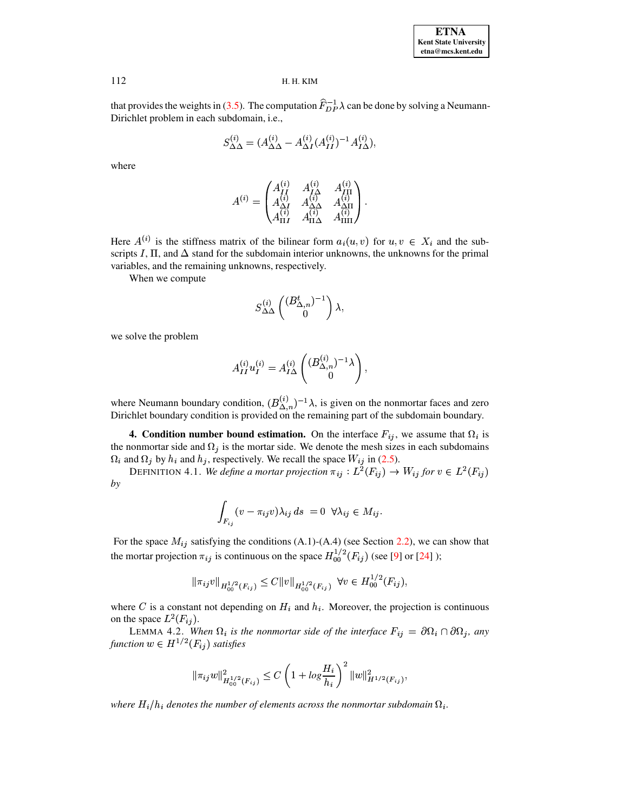that provides the weights in (3.5). The computation  $\hat{F}_{DP}^{-1} \lambda$  can be done by solving a Neumann-Dirichlet problem in each subdomain, i.e.,

$$
S_{\Delta\Delta}^{(i)} = (A_{\Delta\Delta}^{(i)} - A_{\Delta I}^{(i)} (A_{II}^{(i)})^{-1} A_{I\Delta}^{(i)}),
$$

where

$$
A^{(i)} = \begin{pmatrix} A_{II}^{(i)} & A_{I\Delta}^{(i)} & A_{II}^{(i)} \\ A_{\Delta I}^{(i)} & A_{\Delta\Delta}^{(i)} & A_{\Delta\Pi}^{(i)} \\ A_{\Pi I}^{(i)} & A_{\Pi\Delta}^{(i)} & A_{\Pi\Pi}^{(i)} \end{pmatrix}
$$

Here  $A^{(i)}$  is the stiffness matrix of the bilinear form  $a_i(u, v)$  for  $u, v \in X_i$  and the subscripts I,  $\Pi$ , and  $\Delta$  stand for the subdomain interior unknowns, the unknowns for the primal variables, and the remaining unknowns, respectively.

When we compute

$$
S^{(i)}_{\Delta\Delta}\left(\begin{matrix} (B_{\Delta,n}^t)^{-1}\\ 0\end{matrix}\right)\lambda,
$$

we solve the problem

$$
A_{II}^{(i)}u_I^{(i)} = A_{I\Delta}^{(i)} \begin{pmatrix} (B_{\Delta,n}^{(i)})^{-1}\lambda \\ 0 \end{pmatrix}
$$

where Neumann boundary condition,  $(B_{\Delta,n}^{(i)})^{-1}\lambda$ , is given on the nonmortar faces and zero Dirichlet boundary condition is provided on the remaining part of the subdomain boundary.

<span id="page-9-0"></span>**4. Condition number bound estimation.** On the interface  $F_{ij}$ , we assume that  $\Omega_i$  is the nonmortar side and  $\Omega_i$  is the mortar side. We denote the mesh sizes in each subdomains  $\Omega_i$  and  $\Omega_j$  by  $h_i$  and  $h_j$ , respectively. We recall the space  $W_{ij}$  in (2.5).

DEFINITION 4.1. We define a mortar projection  $\pi_{ij}: L^2(F_{ij}) \to W_{ij}$  for  $v \in L^2(F_{ij})$ by

$$
\int_{F_{ij}} (v - \pi_{ij}v)\lambda_{ij} ds = 0 \ \forall \lambda_{ij} \in M_{ij}.
$$

For the space  $M_{ij}$  satisfying the conditions (A.1)-(A.4) (see Section 2.2), we can show that the mortar projection  $\pi_{ij}$  is continuous on the space  $H_{00}^{1/2}(F_{ij})$  (see [9] or [24]);

$$
\|\pi_{ij}v\|_{H_{00}^{1/2}(F_{ij})}\leq C\|v\|_{H_{00}^{1/2}(F_{ij})}\ \forall v\in H_{00}^{1/2}(F_{ij}),
$$

where C is a constant not depending on  $H_i$  and  $h_i$ . Moreover, the projection is continuous on the space  $L^2(F_{ij})$ .

<span id="page-9-1"></span>LEMMA 4.2. When  $\Omega_i$  is the nonmortar side of the interface  $F_{ij} = \partial \Omega_i \cap \partial \Omega_j$ , any function  $w \in H^{1/2}(F_{ij})$  satisfies

$$
\|\pi_{ij}w\|_{H_{00}^{1/2}(F_{ij})}^2 \le C\left(1 + \log \frac{H_i}{h_i}\right)^2 \|w\|_{H^{1/2}(F_{ij})}^2
$$

where  $H_i/h_i$  denotes the number of elements across the nonmortar subdomain  $\Omega_i$ .

112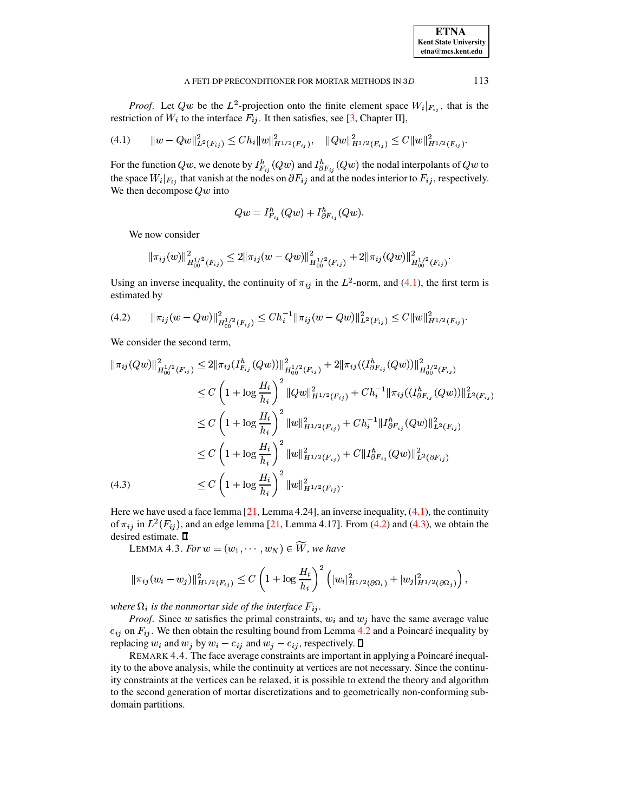<span id="page-10-0"></span>113

*Proof.* Let Qw be the  $L^2$ -projection onto the finite element space  $W_i|_{F_{ij}}$ , that is the restriction of  $W_i$  to the interface  $F_{ij}$ . It then satisfies, see [3, Chapter II],

$$
(4.1) \t ||w - Qw||_{L^{2}(F_{ij})}^{2} \leq Ch_{i}||w||_{H^{1/2}(F_{ij})}^{2}, \t ||Qw||_{H^{1/2}(F_{ij})}^{2} \leq C||w||_{H^{1/2}(F_{ij})}^{2}
$$

For the function Qw, we denote by  $I_{F_{ij}}^h(Qw)$  and  $I_{\partial F_{ij}}^h(Qw)$  the nodal interpolants of Qw to the space  $W_i|_{F_{ij}}$  that vanish at the nodes on  $\partial F_{ij}$  and at the nodes interior to  $F_{ij}$ , respectively. We then decompose  $Qw$  into

$$
Qw = I_{F_{ij}}^h(Qw) + I_{\partial F_{ij}}^h(Qw).
$$

We now consider

$$
\|\pi_{ij}(w)\|_{H_{00}^{1/2}(F_{ij})}^2 \le 2\|\pi_{ij}(w-Qw)\|_{H_{00}^{1/2}(F_{ij})}^2 + 2\|\pi_{ij}(Qw)\|_{H_{00}^{1/2}(F_{ij})}^2.
$$

<span id="page-10-1"></span>Using an inverse inequality, the continuity of  $\pi_{ij}$  in the  $L^2$ -norm, and (4.1), the first term is estimated by

$$
(4.2) \qquad \|\pi_{ij}(w - Qw)\|_{H_{00}^{1/2}(F_{ij})}^2 \leq Ch_i^{-1} \|\pi_{ij}(w - Qw)\|_{L^2(F_{ij})}^2 \leq C \|w\|_{H^{1/2}(F_{ij})}^2
$$

We consider the second term,

$$
\|\pi_{ij}(Qw)\|_{H_{00}^{1/2}(F_{ij})}^{2} \leq 2\|\pi_{ij}(I_{F_{ij}}^{h}(Qw))\|_{H_{00}^{1/2}(F_{ij})}^{2} + 2\|\pi_{ij}((I_{\partial F_{ij}}^{h}(Qw))\|_{H_{00}^{1/2}(F_{ij})}^{2}
$$
  
\n
$$
\leq C\left(1 + \log \frac{H_{i}}{h_{i}}\right)^{2} \|Qw\|_{H^{1/2}(F_{ij})}^{2} + Ch_{i}^{-1} \|\pi_{ij}((I_{\partial F_{ij}}^{h}(Qw))\|_{L^{2}(F_{ij})}^{2}
$$
  
\n
$$
\leq C\left(1 + \log \frac{H_{i}}{h_{i}}\right)^{2} \|w\|_{H^{1/2}(F_{ij})}^{2} + Ch_{i}^{-1} \|I_{\partial F_{ij}}^{h}(Qw)\|_{L^{2}(F_{ij})}^{2}
$$
  
\n
$$
\leq C\left(1 + \log \frac{H_{i}}{h_{i}}\right)^{2} \|w\|_{H^{1/2}(F_{ij})}^{2} + C\|I_{\partial F_{ij}}^{h}(Qw)\|_{L^{2}(\partial F_{ij})}^{2}
$$
  
\n
$$
\leq C\left(1 + \log \frac{H_{i}}{h_{i}}\right)^{2} \|w\|_{H^{1/2}(F_{ij})}^{2} + C\|I_{\partial F_{ij}}^{h}(Qw)\|_{L^{2}(\partial F_{ij})}^{2}
$$
  
\n(4.3)  
\n
$$
\leq C\left(1 + \log \frac{H_{i}}{h_{i}}\right)^{2} \|w\|_{H^{1/2}(F_{ij})}^{2}.
$$

<span id="page-10-3"></span><span id="page-10-2"></span>Here we have used a face lemma  $[21,$  Lemma 4.24], an inverse inequality,  $(4.1)$ , the continuity of  $\pi_{ij}$  in  $L^2(F_{ij})$ , and an edge lemma [21, Lemma 4.17]. From (4.2) and (4.3), we obtain the desired estimate. D

LEMMA 4.3. For  $w = (w_1, \dots, w_N) \in \widetilde{W}$ , we have

$$
\|\pi_{ij}(w_i-w_j)\|_{H^{1/2}(F_{ij})}^2 \leq C \left(1+\log\frac{H_i}{h_i}\right)^2 \left(|w_i|_{H^{1/2}(\partial\Omega_i)}^2+|w_j|_{H^{1/2}(\partial\Omega_j)}^2\right),
$$

where  $\Omega_i$  is the nonmortar side of the interface  $F_{ij}$ .

*Proof.* Since w satisfies the primal constraints,  $w_i$  and  $w_j$  have the same average value  $c_{ij}$  on  $F_{ij}$ . We then obtain the resulting bound from Lemma 4.2 and a Poincaré inequality by replacing  $w_i$  and  $w_j$  by  $w_i - c_{ij}$  and  $w_j - c_{ij}$ , respectively.  $\Box$ 

REMARK 4.4. The face average constraints are important in applying a Poincaré inequality to the above analysis, while the continuity at vertices are not necessary. Since the continuity constraints at the vertices can be relaxed, it is possible to extend the theory and algorithm to the second generation of mortar discretizations and to geometrically non-conforming subdomain partitions.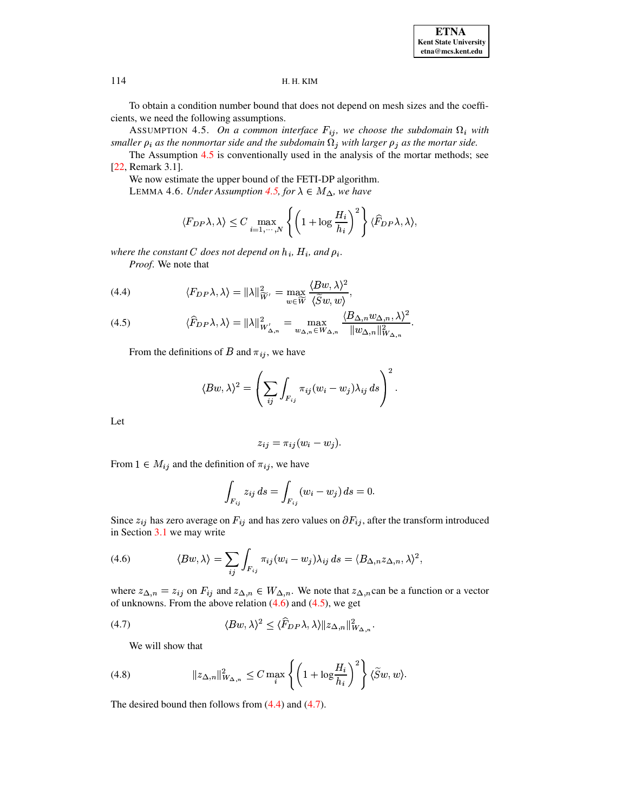To obtain a condition number bound that does not depend on mesh sizes and the coefficients, we need the following assumptions.

ASSUMPTION 4.5. On a common interface  $F_{ij}$ , we choose the subdomain  $\Omega_i$  with smaller  $\rho_i$  as the nonmortar side and the subdomain  $\Omega_j$  with larger  $\rho_j$  as the mortar side.

The Assumption 4.5 is conventionally used in the analysis of the mortar methods; see [22, Remark 3.1].

We now estimate the upper bound of the FETI-DP algorithm. LEMMA 4.6. Under Assumption 4.5, for  $\lambda \in M_{\Delta}$ , we have

<span id="page-11-6"></span><span id="page-11-0"></span>
$$
\langle F_{DP} \lambda, \lambda \rangle \leq C \max_{i=1,\cdots,N} \left\{ \left( 1 + \log \frac{H_i}{h_i} \right)^2 \right\} \langle \widehat{F}_{DP} \lambda, \lambda \rangle,
$$

where the constant C does not depend on  $h_i$ ,  $H_i$ , and  $\rho_i$ .

Proof. We note that

<span id="page-11-3"></span>(4.4) 
$$
\langle F_{DP} \lambda, \lambda \rangle = ||\lambda||_{\widetilde{W}'}^2 = \max_{w \in \widetilde{W}} \frac{\langle Bw, \lambda \rangle^2}{\langle \widetilde{S}w, w \rangle}.
$$

<span id="page-11-2"></span>
$$
(4.5) \qquad \langle \widehat{F}_{DP} \lambda, \lambda \rangle = \|\lambda\|_{W'_{\Delta,n}}^2 = \max_{w_{\Delta,n} \in W_{\Delta,n}} \frac{\langle B_{\Delta,n} w_{\Delta,n}, \lambda \rangle^2}{\|w_{\Delta,n}\|_{W_{\Delta,n}}^2}
$$

From the definitions of B and  $\pi_{ij}$ , we have

$$
\langle Bw, \lambda \rangle^2 = \left( \sum_{ij} \int_{F_{ij}} \pi_{ij} (w_i - w_j) \lambda_{ij} ds \right)^2.
$$

Let

$$
z_{ij} = \pi_{ij}(w_i - w_j).
$$

From  $1 \in M_{ij}$  and the definition of  $\pi_{ij}$ , we have

<span id="page-11-4"></span>
$$
\int_{F_{ij}} z_{ij} \, ds = \int_{F_{ij}} (w_i - w_j) \, ds = 0.
$$

<span id="page-11-1"></span>Since  $z_{ij}$  has zero average on  $F_{ij}$  and has zero values on  $\partial F_{ij}$ , after the transform introduced in Section 3.1 we may write

(4.6) 
$$
\langle Bw, \lambda \rangle = \sum_{ij} \int_{F_{ij}} \pi_{ij} (w_i - w_j) \lambda_{ij} ds = \langle B_{\Delta, n} z_{\Delta, n}, \lambda \rangle^2,
$$

where  $z_{\Delta,n} = z_{ij}$  on  $F_{ij}$  and  $z_{\Delta,n} \in W_{\Delta,n}$ . We note that  $z_{\Delta,n}$  can be a function or a vector of unknowns. From the above relation  $(4.6)$  and  $(4.5)$ , we get

(4.7) 
$$
\langle Bw, \lambda \rangle^2 \leq \langle \widehat{F}_{DP} \lambda, \lambda \rangle \| z_{\Delta, n} \|_{W_{\Delta, n}}^2.
$$

<span id="page-11-5"></span>We will show that

(4.8) 
$$
\|z_{\Delta,n}\|_{W_{\Delta,n}}^2 \leq C \max_i \left\{ \left(1 + \log \frac{H_i}{h_i}\right)^2 \right\} \langle \widetilde{S}w, w \rangle.
$$

The desired bound then follows from  $(4.4)$  and  $(4.7)$ .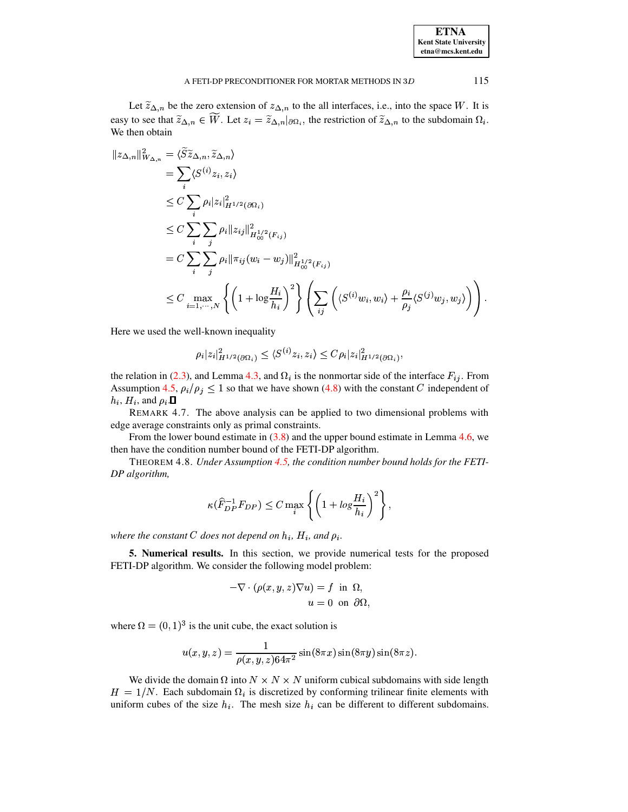| A FETI-DP PRECONDITIONER FOR MORTAR METHODS IN 3D |  |  |
|---------------------------------------------------|--|--|
|---------------------------------------------------|--|--|

Let  $\widetilde{z}_{\Delta,n}$  be the zero extension of  $z_{\Delta,n}$  to the all interfaces, i.e., into the space W. It is easy to see that  $\widetilde{z}_{\Delta,n} \in \overline{W}$ . Let  $z_i = \widetilde{z}_{\Delta,n} |_{\partial \Omega_i}$ , the restriction of  $\widetilde{z}_{\Delta,n}$  to the subdomain  $\Omega_i$ . We then obtain

$$
\|z_{\Delta,n}\|_{W_{\Delta,n}}^2 = \langle \widetilde{S}\widetilde{z}_{\Delta,n}, \widetilde{z}_{\Delta,n} \rangle
$$
  
\n
$$
= \sum_i \langle S^{(i)} z_i, z_i \rangle
$$
  
\n
$$
\leq C \sum_i \rho_i |z_i|_{H^{1/2}(\partial \Omega_i)}^2
$$
  
\n
$$
\leq C \sum_i \sum_j \rho_i \|z_{ij}\|_{H^{1/2}_{00}(F_{ij})}^2
$$
  
\n
$$
= C \sum_i \sum_j \rho_i \|\pi_{ij}(w_i - w_j)\|_{H^{1/2}_{00}(F_{ij})}^2
$$
  
\n
$$
\leq C \max_{i=1,\dots,N} \left\{ \left(1 + \log \frac{H_i}{h_i}\right)^2 \right\} \left( \sum_{ij} \left( \langle S^{(i)} w_i, w_i \rangle + \frac{\rho_i}{\rho_j} \langle S^{(j)} w_j, w_j \rangle \right) \right).
$$

Here we used the well-known inequality

$$
\rho_i |z_i|^2_{H^{1/2}(\partial \Omega_i)} \leq \langle S^{(i)} z_i, z_i \rangle \leq C \rho_i |z_i|^2_{H^{1/2}(\partial \Omega_i)}
$$

the relation in (2.3), and Lemma 4.3, and  $\Omega_i$  is the nonmortar side of the interface  $F_{ij}$ . From Assumption 4.5,  $\rho_i/\rho_j \leq 1$  so that we have shown (4.8) with the constant C independent of  $h_i$ ,  $H_i$ , and  $\rho_i$ .

REMARK 4.7. The above analysis can be applied to two dimensional problems with edge average constraints only as primal constraints.

From the lower bound estimate in  $(3.8)$  and the upper bound estimate in Lemma 4.6, we then have the condition number bound of the FETI-DP algorithm.

THEOREM 4.8. Under Assumption 4.5, the condition number bound holds for the FETI-DP algorithm,

$$
\kappa(\widehat{F}_{DP}^{-1}F_{DP}) \le C \max_{i} \left\{ \left( 1 + \log \frac{H_i}{h_i} \right)^2 \right\},\,
$$

<span id="page-12-0"></span>where the constant C does not depend on  $h_i$ ,  $H_i$ , and  $\rho_i$ .

5. Numerical results. In this section, we provide numerical tests for the proposed FETI-DP algorithm. We consider the following model problem:

$$
-\nabla \cdot (\rho(x, y, z)\nabla u) = f \text{ in } \Omega,
$$
  

$$
u = 0 \text{ on } \partial\Omega.
$$

where  $\Omega = (0, 1)^3$  is the unit cube, the exact solution is

$$
u(x, y, z) = \frac{1}{\rho(x, y, z)64\pi^2} \sin(8\pi x) \sin(8\pi y) \sin(8\pi z).
$$

We divide the domain  $\Omega$  into  $N \times N \times N$  uniform cubical subdomains with side length  $H = 1/N$ . Each subdomain  $\Omega_i$  is discretized by conforming trilinear finite elements with uniform cubes of the size  $h_i$ . The mesh size  $h_i$  can be different to different subdomains.

115

**ETNA Kent State University**  $etna@mcs. kent.edu$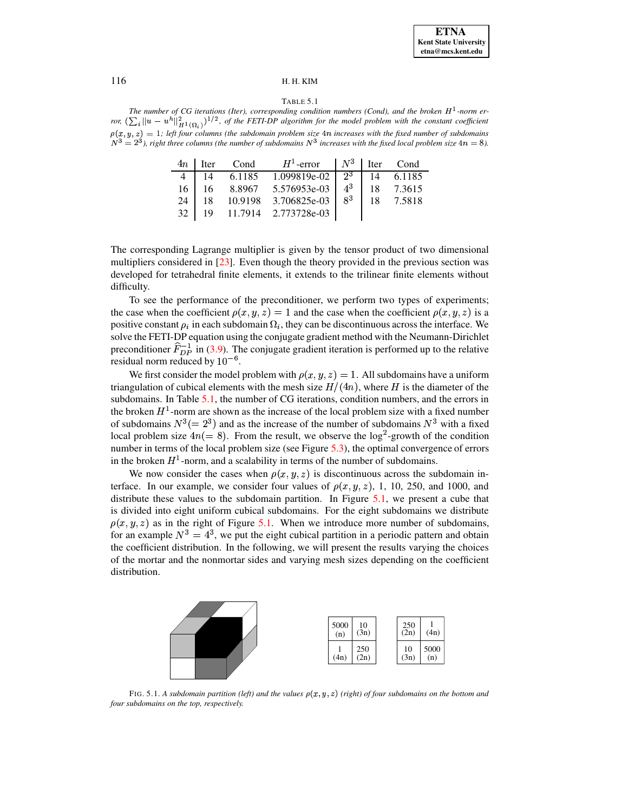#### TABLE 5.1

<span id="page-13-0"></span>The number of CG iterations (Iter), corresponding condition numbers (Cond), and the broken  $H^1$ -norm error,  $(\sum_i ||u - u^h||^2_{H^1(\Omega_i)})^{1/2}$ , of the FETI-DP algorithm for the model problem with the constant coefficient  $\rho(x, y, z) = 1$ ; left four columns (the subdomain problem size 4n increases with the fixed number of subdomains  $N^3 = 2^3$ ), right three columns (the number of subdomains  $N^3$  increases with the fixed local problem size 4n

|  | $4n$ Iter Cond $H^1$ -error   $N^3$ Iter Cond             |  |  |
|--|-----------------------------------------------------------|--|--|
|  | 4   14 6.1185 1.099819e-02   $2^3$   14 6.1185            |  |  |
|  | 16   16 8.8967 5.576953e-03   4 <sup>3</sup>   18 7.3615  |  |  |
|  | 24   18 10.9198 3.706825e-03   8 <sup>3</sup>   18 7.5818 |  |  |
|  | 32   19 11.7914 2.773728e-03                              |  |  |

The corresponding Lagrange multiplier is given by the tensor product of two dimensional multipliers considered in [23]. Even though the theory provided in the previous section was developed for tetrahedral finite elements, it extends to the trilinear finite elements without difficulty.

To see the performance of the preconditioner, we perform two types of experiments; the case when the coefficient  $\rho(x, y, z) = 1$  and the case when the coefficient  $\rho(x, y, z)$  is a positive constant  $\rho_i$  in each subdomain  $\Omega_i$ , they can be discontinuous across the interface. We solve the FETI-DP equation using the conjugate gradient method with the Neumann-Dirichlet preconditioner  $\hat{F}_{DP}^{-1}$  in (3.9). The conjugate gradient iteration is performed up to the relative residual norm reduced by  $10^{-6}$ .

We first consider the model problem with  $\rho(x, y, z) = 1$ . All subdomains have a uniform triangulation of cubical elements with the mesh size  $H/(4n)$ , where H is the diameter of the subdomains. In Table  $5.1$ , the number of CG iterations, condition numbers, and the errors in the broken  $H^1$ -norm are shown as the increase of the local problem size with a fixed number of subdomains  $N^3 (= 2^3)$  and as the increase of the number of subdomains  $N^3$  with a fixed local problem size  $4n(= 8)$ . From the result, we observe the log<sup>2</sup>-growth of the condition number in terms of the local problem size (see Figure 5.3), the optimal convergence of errors in the broken  $H^1$ -norm, and a scalability in terms of the number of subdomains.

We now consider the cases when  $\rho(x, y, z)$  is discontinuous across the subdomain interface. In our example, we consider four values of  $\rho(x, y, z)$ , 1, 10, 250, and 1000, and distribute these values to the subdomain partition. In Figure  $5.1$ , we present a cube that is divided into eight uniform cubical subdomains. For the eight subdomains we distribute  $\rho(x, y, z)$  as in the right of Figure 5.1. When we introduce more number of subdomains, for an example  $N^3 = 4^3$ , we put the eight cubical partition in a periodic pattern and obtain the coefficient distribution. In the following, we will present the results varying the choices of the mortar and the nonmortar sides and varying mesh sizes depending on the coefficient distribution.



<span id="page-13-1"></span>FIG. 5.1. A subdomain partition (left) and the values  $\rho(x, y, z)$  (right) of four subdomains on the bottom and four subdomains on the top, respectively.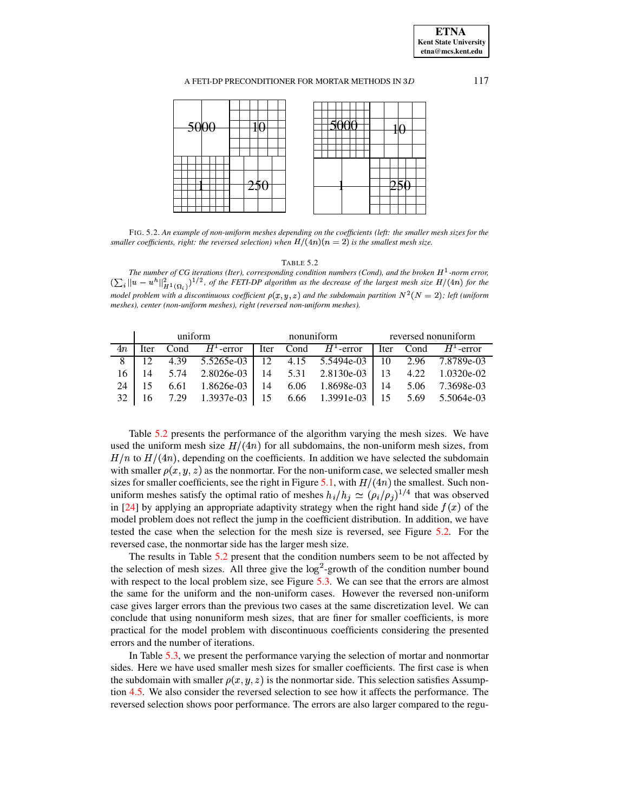**ETNA Kent State University etna@mcs.kent.edu**

## A FETI-DP PRECONDITIONER FOR MORTAR METHODS IN  $3D$  117



<span id="page-14-1"></span>FIG. 5.2. *An example of non-uniform meshes depending on the coefficients (left: the smaller mesh sizes for the*  $s$ maller coefficients, right: the reversed selection) when  $H/(\{4n)(n=2)}$  is the smallest mesh size.

#### TABLE 5.2

<span id="page-14-0"></span>*The number of CG iterations (Iter), corresponding condition <i>numbers (Cond), and the broken*  $H^1$ -norm error,  $\int_{A} ||u - u^h||_{H^1(\Omega_i)}^2$  )<sup>1/2</sup>, of the FETI-DP algorithm as the decrease of the largest mesh size  $H/(4n)$  for the  $\mu$  *model* problem with a discontinuous coefficient  $\rho(x, y, z)$  and the subdomain partition  $N^2(N = 2)$ ; left (uniform *meshes), center (non-uniform meshes), right (reversed non-uniform meshes).*

|    |  |  |  | uniform nonuniform reversed nonuniform |  |                                                                               |  |  |  |
|----|--|--|--|----------------------------------------|--|-------------------------------------------------------------------------------|--|--|--|
| 4n |  |  |  |                                        |  | Iter Cond $H^1$ -error liter Cond $H^1$ -error liter Cond $H^1$ -error        |  |  |  |
|    |  |  |  |                                        |  | 8   12  4.39  5.5265e-03   12  4.15  5.5494e-03   10  2.96  7.8789e-03        |  |  |  |
|    |  |  |  |                                        |  | 16   14   5.74   2.8026e-03   14   5.31   2.8130e-03   13   4.22   1.0320e-02 |  |  |  |
|    |  |  |  |                                        |  | 24   15  6.61  1.8626e-03   14  6.06  1.8698e-03   14  5.06  7.3698e-03       |  |  |  |
|    |  |  |  |                                        |  | 32   16 7.29 1.3937e-03   15 6.66 1.3991e-03   15 5.69 5.5064e-03             |  |  |  |

Table [5.2](#page-14-0) presents the performance of the algorithm varying the mesh sizes. We have used the uniform mesh size  $H/(4n)$  for all subdomains, the non-uniform mesh sizes, from  $H/n$  to  $H/(4n)$ , depending on the coefficients. In addition we have selected the subdomain with smaller  $\rho(x, y, z)$  as the nonmortar. For the non-uniform case, we selected smaller mesh § sizes for smaller coefficients, see the right in Figure [5.1,](#page-13-1) with  $H/(4n)$  the smallest. Such nonuniform meshes satisfy the optimal ratio of meshes  $h_i/h_j \simeq (\rho_i/\rho_j)^{1/4}$  that was observed in [\[24\]](#page-17-3) by applying an appropriate adaptivity strategy when the right hand side  $f(x)$  of the model problem does not reflect the jump in the coefficient distribution. In addition, we have tested the case when the selection for the mesh size is reversed, see Figure [5.2.](#page-14-1) For the reversed case, the nonmortar side has the larger mesh size.

The results in Table [5.2](#page-14-0) present that the condition numbers seem to be not affected by the selection of mesh sizes. All three give the  $log<sup>2</sup>$ -growth of the condition number bound with respect to the local problem size, see Figure [5.3.](#page-15-0) We can see that the errors are almost the same for the uniform and the non-uniform cases. However the reversed non-uniform case gives larger errors than the previous two cases at the same discretization level. We can conclude that using nonuniform mesh sizes, that are finer for smaller coefficients, is more practical for the model problem with discontinuous coefficients considering the presented errors and the number of iterations.

In Table [5.3,](#page-15-1) we present the performance varying the selection of mortar and nonmortar sides. Here we have used smaller mesh sizes for smaller coefficients. The first case is when the subdomain with smaller  $\rho(x, y, z)$  is the nonmortar side. This selection satisfies Assumption [4.5.](#page-11-0) We also consider the reversed selection to see how it affects the performance. The reversed selection shows poor performance. The errors are also larger compared to the regu-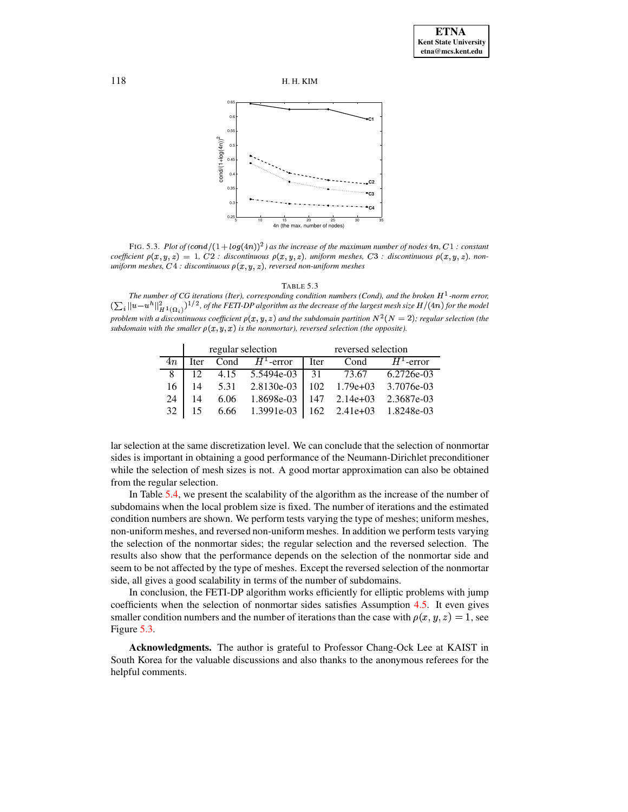

<span id="page-15-0"></span>FIG. 5.3. Plot of  $(cond/(1 + log(4n))^2)$  as the increase of the maximum number of nodes 4n, C1 : constant coefficient  $\rho(x, y, z) = 1$ , C2 : discontinuous  $\rho(x, y, z)$ , uniform meshes, C3 : discontinuous  $\rho(x, y, z)$ , nonuniform meshes,  $C4$ : discontinuous  $\rho(x, y, z)$ , reversed non-uniform meshes

<span id="page-15-1"></span>TABLE 5.3 The number of CG iterations (Iter), corresponding condition numbers (Cond), and the broken  $H^1$ -norm error,  $\left(\sum_i ||u-u^h||_{H^1(\Omega_i)}^2\right)^{1/2}$ , of the FETI-DP algorithm as the decrease of the largest mesh size  $H/(4n)$  for the model problem with a discontinuous coefficient  $\rho(x, y, z)$  and the subdomain partition  $N^2(N = 2)$ ; regular selection (the subdomain with the smaller  $\rho(x, y, x)$  is the nonmortar), reversed selection (the opposite).

|    |             |      | regular selection | reversed selection |            |                     |  |
|----|-------------|------|-------------------|--------------------|------------|---------------------|--|
| 4п | <b>Iter</b> | Cond | $H^1$ -error      | <b>Iter</b>        | Cond       | $H^1$ -error        |  |
| 8  | 12          | 4.15 | 5.5494e-03        | 31                 | 73.67      | 6.2726e-03          |  |
| 16 | 14          | 5.31 | 2.8130e-03        | 102                | $1.79e+03$ | 3.7076e-03          |  |
| 24 | 14          | 6.06 | 1.8698e-03        | 147                | $2.14e+03$ | 2.3687e-03          |  |
| 32 |             | 6.66 | 1.3991e-03        | 162                |            | 2.41e+03 1.8248e-03 |  |

lar selection at the same discretization level. We can conclude that the selection of nonmortar sides is important in obtaining a good performance of the Neumann-Dirichlet preconditioner while the selection of mesh sizes is not. A good mortar approximation can also be obtained from the regular selection.

In Table 5.4, we present the scalability of the algorithm as the increase of the number of subdomains when the local problem size is fixed. The number of iterations and the estimated condition numbers are shown. We perform tests varying the type of meshes; uniform meshes, non-uniform meshes, and reversed non-uniform meshes. In addition we perform tests varying the selection of the nonmortar sides; the regular selection and the reversed selection. The results also show that the performance depends on the selection of the nonmortar side and seem to be not affected by the type of meshes. Except the reversed selection of the nonmortar side, all gives a good scalability in terms of the number of subdomains.

In conclusion, the FETI-DP algorithm works efficiently for elliptic problems with jump coefficients when the selection of nonmortar sides satisfies Assumption 4.5. It even gives smaller condition numbers and the number of iterations than the case with  $\rho(x, y, z) = 1$ , see Figure 5.3.

Acknowledgments. The author is grateful to Professor Chang-Ock Lee at KAIST in South Korea for the valuable discussions and also thanks to the anonymous referees for the helpful comments.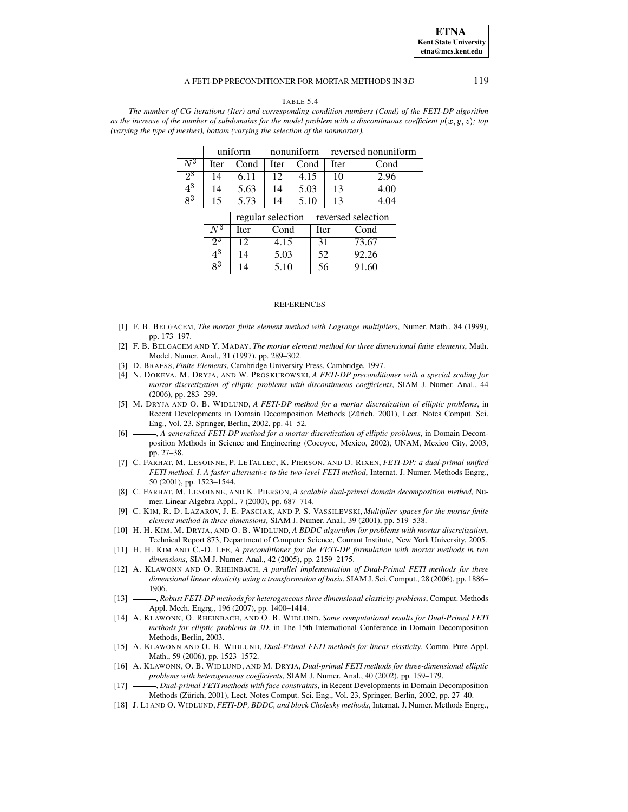#### A FETI-DP PRECONDITIONER FOR MORTAR METHODS IN 3D

TABLE 5.4

<span id="page-16-18"></span>The number of CG iterations (Iter) and corresponding condition numbers (Cond) of the FETI-DP algorithm as the increase of the number of subdomains for the model problem with a discontinuous coefficient  $\rho(x, y, z)$ ; top (varying the type of meshes), bottom (varying the selection of the nonmortar).

|         | uniform          |                   | nonuniform |      |      | reversed nonuniform |       |  |  |
|---------|------------------|-------------------|------------|------|------|---------------------|-------|--|--|
| $\,N^3$ | Iter             | Cond              | Iter       | Cond |      | Iter                | Cond  |  |  |
| $2^3$   | 14               | 6.11              | 12         | 4.15 |      | 10                  | 2.96  |  |  |
| $4^3$   | 14               | 5.63              | 14         | 5.03 |      | 13                  | 4.00  |  |  |
| $8^3$   | 15               | 5.73              | 14         | 5.10 |      | 13                  | 4.04  |  |  |
|         |                  | regular selection |            |      |      | reversed selection  |       |  |  |
|         | $\overline{N^3}$ | Iter              | Cond       |      | Iter |                     | Cond  |  |  |
|         | $2^3$            | 12                | 4.15       |      | 31   |                     | 73.67 |  |  |
|         | $\mathbf{4}^3$   | 14                | 5.03       |      | 52   |                     | 92.26 |  |  |
|         | $8^3$            | 14                | 5.10       |      | 56   |                     | 91.60 |  |  |

#### **REFERENCES**

- <span id="page-16-13"></span>[1] F. B. BELGACEM, The mortar finite element method with Lagrange multipliers, Numer. Math., 84 (1999), pp. 173-197.
- <span id="page-16-14"></span>[2] F. B. BELGACEM AND Y. MADAY, The mortar element method for three dimensional finite elements, Math. Model. Numer. Anal., 31 (1997), pp. 289-302.
- <span id="page-16-17"></span><span id="page-16-8"></span>[3] D. BRAESS, Finite Elements, Cambridge University Press, Cambridge, 1997.
- [4] N. DOKEVA, M. DRYJA, AND W. PROSKUROWSKI, A FETI-DP preconditioner with a special scaling for mortar discretization of elliptic problems with discontinuous coefficients, SIAM J. Numer. Anal., 44 (2006), pp. 283-299.
- <span id="page-16-5"></span>[5] M. DRYJA AND O. B. WIDLUND, A FETI-DP method for a mortar discretization of elliptic problems, in Recent Developments in Domain Decomposition Methods (Zürich, 2001), Lect. Notes Comput. Sci. Eng., Vol. 23, Springer, Berlin, 2002, pp. 41-52.
- <span id="page-16-6"></span> $[6]$ -, A generalized FETI-DP method for a mortar discretization of elliptic problems, in Domain Decomposition Methods in Science and Engineering (Cocoyoc, Mexico, 2002), UNAM, Mexico City, 2003, pp. 27-38.
- <span id="page-16-0"></span>[7] C. FARHAT, M. LESOINNE, P. LETALLEC, K. PIERSON, AND D. RIXEN, FETI-DP: a dual-primal unified FETI method. I. A faster alternative to the two-level FETI method, Internat. J. Numer. Methods Engrg., 50 (2001), pp. 1523-1544.
- <span id="page-16-1"></span>[8] C. FARHAT, M. LESOINNE, AND K. PIERSON, A scalable dual-primal domain decomposition method, Numer. Linear Algebra Appl., 7 (2000), pp. 687-714.
- <span id="page-16-15"></span>[9] C. KIM, R. D. LAZAROV, J. E. PASCIAK, AND P. S. VASSILEVSKI, Multiplier spaces for the mortar finite element method in three dimensions, SIAM J. Numer. Anal., 39 (2001), pp. 519-538.
- <span id="page-16-16"></span>[10] H. H. KIM, M. DRYJA, AND O. B. WIDLUND, A BDDC algorithm for problems with mortar discretization, Technical Report 873, Department of Computer Science, Courant Institute, New York University, 2005.
- <span id="page-16-7"></span>[11] H. H. KIM AND C.-O. LEE, A preconditioner for the FETI-DP formulation with mortar methods in two dimensions, SIAM J. Numer. Anal., 42 (2005), pp. 2159-2175.
- <span id="page-16-11"></span>[12] A. KLAWONN AND O. RHEINBACH, A parallel implementation of Dual-Primal FETI methods for three dimensional linear elasticity using a transformation of basis, SIAM J. Sci. Comput., 28 (2006), pp. 1886-1906.
- <span id="page-16-12"></span>-, Robust FETI-DP methods for heterogeneous three dimensional elasticity problems, Comput. Methods  $\lceil 13 \rceil$ Appl. Mech. Engrg., 196 (2007), pp. 1400-1414.
- <span id="page-16-4"></span>[14] A. KLAWONN, O. RHEINBACH, AND O. B. WIDLUND, Some computational results for Dual-Primal FETI methods for elliptic problems in 3D, in The 15th International Conference in Domain Decomposition Methods, Berlin, 2003.
- <span id="page-16-9"></span>[15] A. KLAWONN AND O. B. WIDLUND, Dual-Primal FETI methods for linear elasticity, Comm. Pure Appl. Math., 59 (2006), pp. 1523-1572.
- <span id="page-16-2"></span>[16] A. KLAWONN, O. B. WIDLUND, AND M. DRYJA, Dual-primal FETI methods for three-dimensional elliptic problems with heterogeneous coefficients, SIAM J. Numer. Anal., 40 (2002), pp. 159-179.
- <span id="page-16-3"></span>-, Dual-primal FETI methods with face constraints, in Recent Developments in Domain Decomposition  $[17]$ Methods (Zürich, 2001), Lect. Notes Comput. Sci. Eng., Vol. 23, Springer, Berlin, 2002, pp. 27–40.
- <span id="page-16-10"></span>[18] J. LI AND O. WIDLUND, FETI-DP, BDDC, and block Cholesky methods, Internat. J. Numer. Methods Engrg.,

119

**ETNA Kent State University**  $etna@mcs. kent.edu$